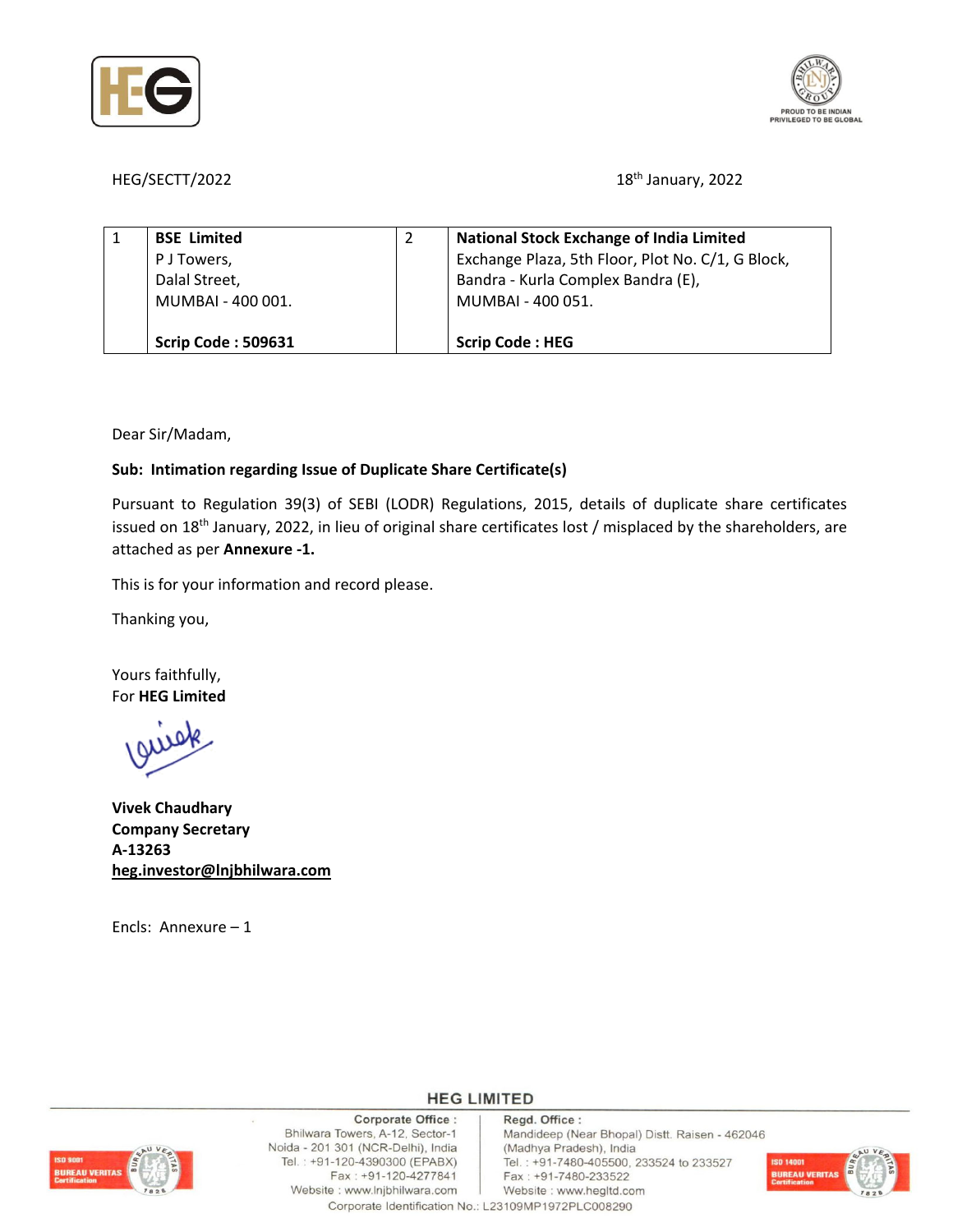



HEG/SECTT/2022 18<sup>th</sup> January, 2022

| <b>BSE Limited</b>        | <b>National Stock Exchange of India Limited</b>   |
|---------------------------|---------------------------------------------------|
| P J Towers,               | Exchange Plaza, 5th Floor, Plot No. C/1, G Block, |
| Dalal Street,             | Bandra - Kurla Complex Bandra (E),                |
| MUMBAI - 400 001.         | MUMBAI - 400 051.                                 |
|                           |                                                   |
| <b>Scrip Code: 509631</b> | <b>Scrip Code: HEG</b>                            |

Dear Sir/Madam,

## **Sub: Intimation regarding Issue of Duplicate Share Certificate(s)**

Pursuant to Regulation 39(3) of SEBI (LODR) Regulations, 2015, details of duplicate share certificates issued on 18<sup>th</sup> January, 2022, in lieu of original share certificates lost / misplaced by the shareholders, are attached as per **Annexure ‐1.**

This is for your information and record please.

Thanking you,

Yours faithfully, For **HEG Limited**

**Vivek Chaudhary Company Secretary A‐13263 heg.investor@lnjbhilwara.com**

Encls: Annexure – 1

Corporate Office : Bhilwara Towers, A-12, Sector-1 Noida - 201 301 (NCR-Delhi), India Tel.: +91-120-4390300 (EPABX) Fax: +91-120-4277841 Website : www.lnjbhilwara.com

Regd. Office : Mandideep (Near Bhopal) Distt. Raisen - 462046 (Madhya Pradesh), India Tel.: +91-7480-405500, 233524 to 233527

Fax: +91-7480-233522 Website: www.hegltd.com

Corporate Identification No.: L23109MP1972PLC008290

**HEG LIMITED**